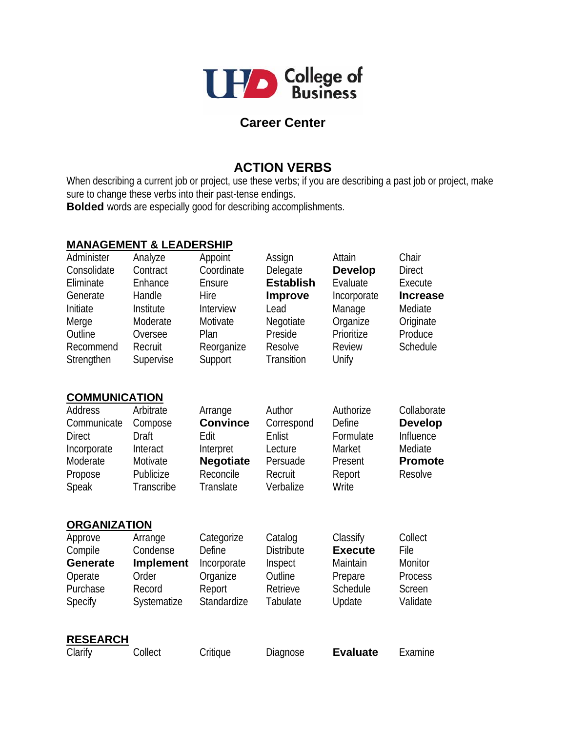

## **Career Center**

## **ACTION VERBS**

When describing a current job or project, use these verbs; if you are describing a past job or project, make sure to change these verbs into their past-tense endings. **Bolded** words are especially good for describing accomplishments.

## **MANAGEMENT & LEADERSHIP**

| Administer<br>Consolidate<br>Eliminate<br>Generate<br>Initiate<br>Merge<br>Outline<br>Recommend<br>Strengthen | Analyze<br>Contract<br>Enhance<br>Handle<br>Institute<br>Moderate<br>Oversee<br>Recruit<br>Supervise | Appoint<br>Coordinate<br>Ensure<br>Hire<br>Interview<br>Motivate<br>Plan<br>Reorganize<br>Support | Assign<br>Delegate<br><b>Establish</b><br><b>Improve</b><br>Lead<br>Negotiate<br>Preside<br>Resolve<br>Transition | Attain<br><b>Develop</b><br>Evaluate<br>Incorporate<br>Manage<br>Organize<br>Prioritize<br><b>Review</b><br>Unify | Chair<br><b>Direct</b><br>Execute<br><b>Increase</b><br>Mediate<br>Originate<br>Produce<br>Schedule |
|---------------------------------------------------------------------------------------------------------------|------------------------------------------------------------------------------------------------------|---------------------------------------------------------------------------------------------------|-------------------------------------------------------------------------------------------------------------------|-------------------------------------------------------------------------------------------------------------------|-----------------------------------------------------------------------------------------------------|
| <b>COMMUNICATION</b>                                                                                          |                                                                                                      |                                                                                                   |                                                                                                                   |                                                                                                                   |                                                                                                     |
| Address<br>Communicate<br><b>Direct</b><br>Incorporate<br>Moderate<br>Propose<br>Speak                        | Arbitrate<br>Compose<br>Draft<br>Interact<br>Motivate<br>Publicize<br>Transcribe                     | Arrange<br><b>Convince</b><br>Edit<br>Interpret<br><b>Negotiate</b><br>Reconcile<br>Translate     | Author<br>Correspond<br>Enlist<br>Lecture<br>Persuade<br>Recruit<br>Verbalize                                     | Authorize<br>Define<br>Formulate<br>Market<br>Present<br>Report<br>Write                                          | Collaborate<br><b>Develop</b><br>Influence<br>Mediate<br><b>Promote</b><br>Resolve                  |
| <b>ORGANIZATION</b>                                                                                           |                                                                                                      |                                                                                                   |                                                                                                                   |                                                                                                                   |                                                                                                     |
| Approve<br>Compile<br><b>Generate</b><br>Operate<br>Purchase<br>Specify                                       | Arrange<br>Condense<br><b>Implement</b><br>Order<br>Record<br>Systematize                            | Categorize<br>Define<br>Incorporate<br>Organize<br>Report<br>Standardize                          | Catalog<br><b>Distribute</b><br>Inspect<br>Outline<br>Retrieve<br>Tabulate                                        | Classify<br><b>Execute</b><br>Maintain<br>Prepare<br>Schedule<br>Update                                           | Collect<br>File<br>Monitor<br>Process<br>Screen<br>Validate                                         |
| <b>RESEARCH</b><br>Clarify                                                                                    | Collect                                                                                              | Critique                                                                                          | Diagnose                                                                                                          | <b>Evaluate</b>                                                                                                   | Examine                                                                                             |